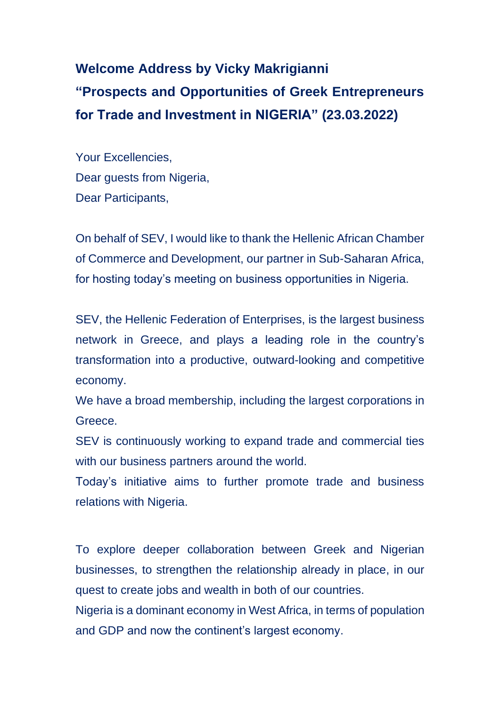**Welcome Address by Vicky Makrigianni "Prospects and Opportunities of Greek Entrepreneurs for Trade and Investment in ΝIGERIA" (23.03.2022)**

Your Excellencies, Dear guests from Nigeria, Dear Participants,

On behalf of SEV, I would like to thank the Hellenic African Chamber of Commerce and Development, our partner in Sub-Saharan Africa, for hosting today's meeting on business opportunities in Nigeria.

SEV, the Hellenic Federation of Enterprises, is the largest business network in Greece, and plays a leading role in the country's transformation into a productive, outward-looking and competitive economy.

We have a broad membership, including the largest corporations in Greece.

SEV is continuously working to expand trade and commercial ties with our business partners around the world.

Today's initiative aims to further promote trade and business relations with Nigeria.

To explore deeper collaboration between Greek and Nigerian businesses, to strengthen the relationship already in place, in our quest to create jobs and wealth in both of our countries.

Nigeria is a dominant economy in West Africa, in terms of population and GDP and now the continent's largest economy.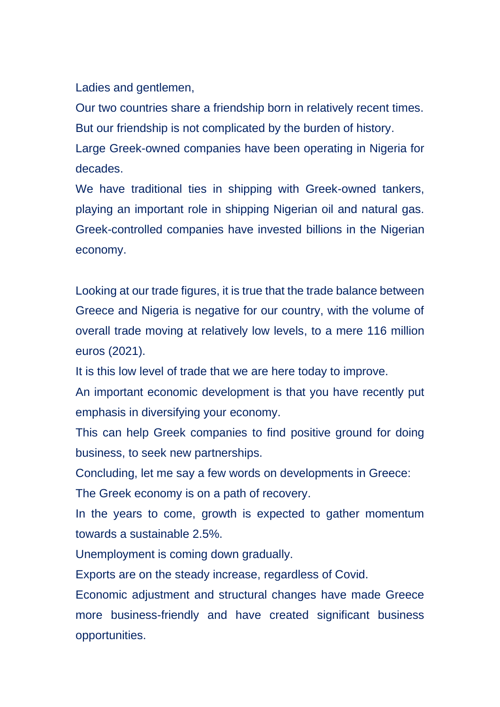Ladies and gentlemen,

Our two countries share a friendship born in relatively recent times. But our friendship is not complicated by the burden of history.

Large Greek-owned companies have been operating in Nigeria for decades.

We have traditional ties in shipping with Greek-owned tankers, playing an important role in shipping Nigerian oil and natural gas. Greek-controlled companies have invested billions in the Nigerian economy.

Looking at our trade figures, it is true that the trade balance between Greece and Nigeria is negative for our country, with the volume of overall trade moving at relatively low levels, to a mere 116 million euros (2021).

It is this low level of trade that we are here today to improve.

An important economic development is that you have recently put emphasis in diversifying your economy.

This can help Greek companies to find positive ground for doing business, to seek new partnerships.

Concluding, let me say a few words on developments in Greece:

The Greek economy is on a path of recovery.

In the years to come, growth is expected to gather momentum towards a sustainable 2.5%.

Unemployment is coming down gradually.

Exports are on the steady increase, regardless of Covid.

Economic adjustment and structural changes have made Greece more business-friendly and have created significant business opportunities.